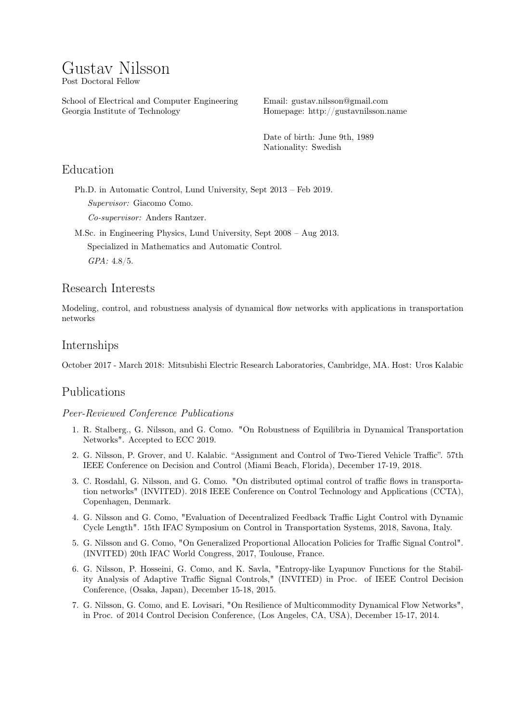# Gustav Nilsson Post Doctoral Fellow

School of Electrical and Computer Engineering Georgia Institute of Technology

Email: [gustav.nilsson@gmail.com](mailto:gustav.nilsson@gmail.com) Homepage: <http://gustavnilsson.name>

Date of birth: June 9th, 1989 Nationality: Swedish

# Education

Ph.D. in Automatic Control, Lund University, Sept 2013 – Feb 2019. Supervisor: Giacomo Como.

Co-supervisor: Anders Rantzer.

M.Sc. in Engineering Physics, Lund University, Sept 2008 – Aug 2013. Specialized in Mathematics and Automatic Control. GPA: 4.8/5.

# Research Interests

Modeling, control, and robustness analysis of dynamical flow networks with applications in transportation networks

## Internships

October 2017 - March 2018: Mitsubishi Electric Research Laboratories, Cambridge, MA. Host: Uros Kalabic

# Publications

#### Peer-Reviewed Conference Publications

- 1. R. Stalberg., G. Nilsson, and G. Como. "On Robustness of Equilibria in Dynamical Transportation Networks". Accepted to ECC 2019.
- 2. G. Nilsson, P. Grover, and U. Kalabic. "Assignment and Control of Two-Tiered Vehicle Traffic". 57th IEEE Conference on Decision and Control (Miami Beach, Florida), December 17-19, 2018.
- 3. C. Rosdahl, G. Nilsson, and G. Como. "On distributed optimal control of traffic flows in transportation networks" (INVITED). 2018 IEEE Conference on Control Technology and Applications (CCTA), Copenhagen, Denmark.
- 4. G. Nilsson and G. Como, "Evaluation of Decentralized Feedback Traffic Light Control with Dynamic Cycle Length". 15th IFAC Symposium on Control in Transportation Systems, 2018, Savona, Italy.
- 5. G. Nilsson and G. Como, "On Generalized Proportional Allocation Policies for Traffic Signal Control". (INVITED) 20th IFAC World Congress, 2017, Toulouse, France.
- 6. G. Nilsson, P. Hosseini, G. Como, and K. Savla, "Entropy-like Lyapunov Functions for the Stability Analysis of Adaptive Traffic Signal Controls," (INVITED) in Proc. of IEEE Control Decision Conference, (Osaka, Japan), December 15-18, 2015.
- 7. G. Nilsson, G. Como, and E. Lovisari, "On Resilience of Multicommodity Dynamical Flow Networks", in Proc. of 2014 Control Decision Conference, (Los Angeles, CA, USA), December 15-17, 2014.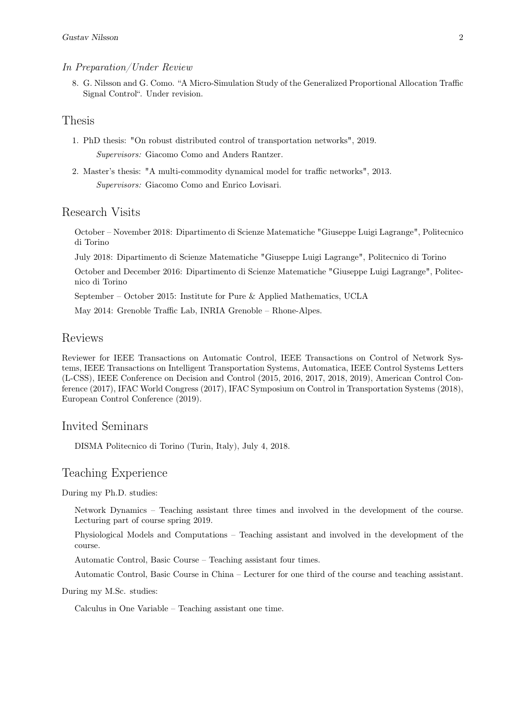#### In Preparation/Under Review

8. G. Nilsson and G. Como. "A Micro-Simulation Study of the Generalized Proportional Allocation Traffic Signal Control". Under revision.

#### Thesis

- 1. PhD thesis: "On robust distributed control of transportation networks", 2019. Supervisors: Giacomo Como and Anders Rantzer.
- 2. Master's thesis: "A multi-commodity dynamical model for traffic networks", 2013. Supervisors: Giacomo Como and Enrico Lovisari.

#### Research Visits

October – November 2018: Dipartimento di Scienze Matematiche "Giuseppe Luigi Lagrange", Politecnico di Torino

July 2018: Dipartimento di Scienze Matematiche "Giuseppe Luigi Lagrange", Politecnico di Torino

October and December 2016: Dipartimento di Scienze Matematiche "Giuseppe Luigi Lagrange", Politecnico di Torino

September – October 2015: Institute for Pure & Applied Mathematics, UCLA

May 2014: Grenoble Traffic Lab, INRIA Grenoble – Rhone-Alpes.

#### Reviews

Reviewer for IEEE Transactions on Automatic Control, IEEE Transactions on Control of Network Systems, IEEE Transactions on Intelligent Transportation Systems, Automatica, IEEE Control Systems Letters (L-CSS), IEEE Conference on Decision and Control (2015, 2016, 2017, 2018, 2019), American Control Conference (2017), IFAC World Congress (2017), IFAC Symposium on Control in Transportation Systems (2018), European Control Conference (2019).

#### Invited Seminars

DISMA Politecnico di Torino (Turin, Italy), July 4, 2018.

#### Teaching Experience

During my Ph.D. studies:

Network Dynamics – Teaching assistant three times and involved in the development of the course. Lecturing part of course spring 2019.

Physiological Models and Computations – Teaching assistant and involved in the development of the course.

Automatic Control, Basic Course – Teaching assistant four times.

Automatic Control, Basic Course in China – Lecturer for one third of the course and teaching assistant.

During my M.Sc. studies:

Calculus in One Variable – Teaching assistant one time.